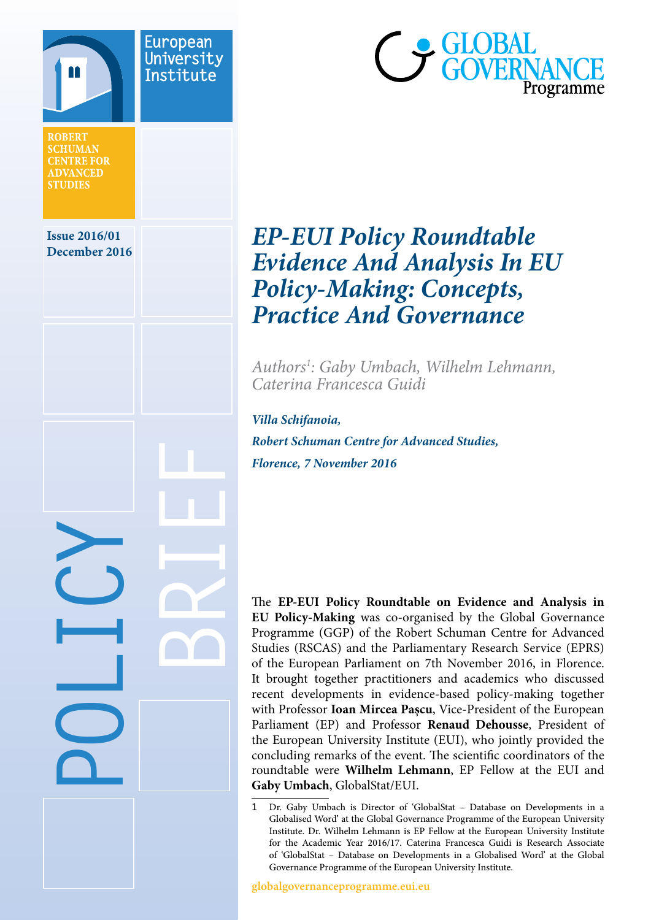



# **EP-EUI Policy Roundtable**<br>
December 2016 *Evidence And Analysis In EU Policy-Making: Concepts, Practice And Governance*

*Authors1 : Gaby Umbach, Wilhelm Lehmann, Caterina Francesca Guidi*

*Villa Schifanoia, Robert Schuman Centre for Advanced Studies, Florence, 7 November 2016*

The **EP-EUI Policy Roundtable on Evidence and Analysis in EU Policy-Making** was co-organised by the Global Governance Programme (GGP) of the Robert Schuman Centre for Advanced Studies (RSCAS) and the Parliamentary Research Service (EPRS) of the European Parliament on 7th November 2016, in Florence. It brought together practitioners and academics who discussed recent developments in evidence-based policy-making together with Professor **Ioan Mircea Paşcu**, Vice-President of the European Parliament (EP) and Professor **Renaud Dehousse**, President of the European University Institute (EUI), who jointly provided the concluding remarks of the event. The scientific coordinators of the roundtable were **Wilhelm Lehmann**, EP Fellow at the EUI and **Gaby Umbach**, GlobalStat/EUI.

1 Dr. Gaby Umbach is Director of 'GlobalStat – Database on Developments in a Globalised Word' at the Global Governance Programme of the European University Institute. Dr. Wilhelm Lehmann is EP Fellow at the European University Institute for the Academic Year 2016/17. Caterina Francesca Guidi is Research Associate of 'GlobalStat – Database on Developments in a Globalised Word' at the Global Governance Programme of the European University Institute.

**globalgovernanceprogramme.eui.eu**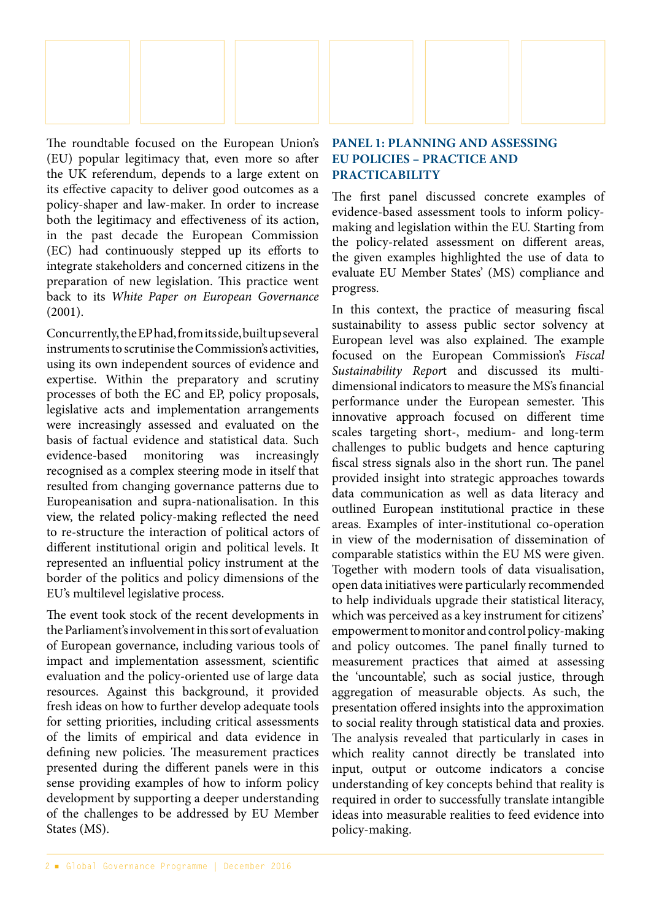

The roundtable focused on the European Union's (EU) popular legitimacy that, even more so after the UK referendum, depends to a large extent on its effective capacity to deliver good outcomes as a policy-shaper and law-maker. In order to increase both the legitimacy and effectiveness of its action, in the past decade the European Commission (EC) had continuously stepped up its efforts to integrate stakeholders and concerned citizens in the preparation of new legislation. This practice went back to its *White Paper on European Governance* (2001).

Concurrently, the EP had, from its side, built up several instruments to scrutinise the Commission's activities, using its own independent sources of evidence and expertise. Within the preparatory and scrutiny processes of both the EC and EP, policy proposals, legislative acts and implementation arrangements were increasingly assessed and evaluated on the basis of factual evidence and statistical data. Such evidence-based monitoring was increasingly recognised as a complex steering mode in itself that resulted from changing governance patterns due to Europeanisation and supra-nationalisation. In this view, the related policy-making reflected the need to re-structure the interaction of political actors of different institutional origin and political levels. It represented an influential policy instrument at the border of the politics and policy dimensions of the EU's multilevel legislative process.

The event took stock of the recent developments in the Parliament's involvement in this sort of evaluation of European governance, including various tools of impact and implementation assessment, scientific evaluation and the policy-oriented use of large data resources. Against this background, it provided fresh ideas on how to further develop adequate tools for setting priorities, including critical assessments of the limits of empirical and data evidence in defining new policies. The measurement practices presented during the different panels were in this sense providing examples of how to inform policy development by supporting a deeper understanding of the challenges to be addressed by EU Member States (MS).

#### **PANEL 1: PLANNING AND ASSESSING EU POLICIES – PRACTICE AND PRACTICABILITY**

The first panel discussed concrete examples of evidence-based assessment tools to inform policymaking and legislation within the EU. Starting from the policy-related assessment on different areas, the given examples highlighted the use of data to evaluate EU Member States' (MS) compliance and progress.

In this context, the practice of measuring fiscal sustainability to assess public sector solvency at European level was also explained. The example focused on the European Commission's *Fiscal Sustainability Repor*t and discussed its multidimensional indicators to measure the MS's financial performance under the European semester. This innovative approach focused on different time scales targeting short-, medium- and long-term challenges to public budgets and hence capturing fiscal stress signals also in the short run. The panel provided insight into strategic approaches towards data communication as well as data literacy and outlined European institutional practice in these areas. Examples of inter-institutional co-operation in view of the modernisation of dissemination of comparable statistics within the EU MS were given. Together with modern tools of data visualisation, open data initiatives were particularly recommended to help individuals upgrade their statistical literacy, which was perceived as a key instrument for citizens' empowerment to monitor and control policy-making and policy outcomes. The panel finally turned to measurement practices that aimed at assessing the 'uncountable', such as social justice, through aggregation of measurable objects. As such, the presentation offered insights into the approximation to social reality through statistical data and proxies. The analysis revealed that particularly in cases in which reality cannot directly be translated into input, output or outcome indicators a concise understanding of key concepts behind that reality is required in order to successfully translate intangible ideas into measurable realities to feed evidence into policy-making.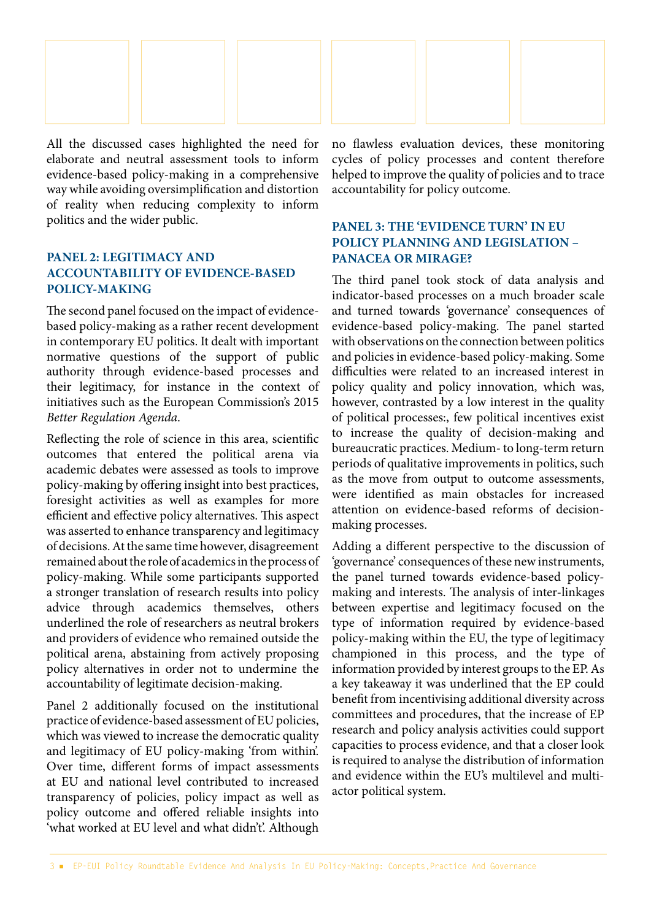

All the discussed cases highlighted the need for elaborate and neutral assessment tools to inform evidence-based policy-making in a comprehensive way while avoiding oversimplification and distortion of reality when reducing complexity to inform politics and the wider public.

## **PANEL 2: LEGITIMACY AND ACCOUNTABILITY OF EVIDENCE-BASED POLICY-MAKING**

The second panel focused on the impact of evidencebased policy-making as a rather recent development in contemporary EU politics. It dealt with important normative questions of the support of public authority through evidence-based processes and their legitimacy, for instance in the context of initiatives such as the European Commission's 2015 *Better Regulation Agenda*.

Reflecting the role of science in this area, scientific outcomes that entered the political arena via academic debates were assessed as tools to improve policy-making by offering insight into best practices, foresight activities as well as examples for more efficient and effective policy alternatives. This aspect was asserted to enhance transparency and legitimacy of decisions. At the same time however, disagreement remained about the role of academics in the process of policy-making. While some participants supported a stronger translation of research results into policy advice through academics themselves, others underlined the role of researchers as neutral brokers and providers of evidence who remained outside the political arena, abstaining from actively proposing policy alternatives in order not to undermine the accountability of legitimate decision-making.

Panel 2 additionally focused on the institutional practice of evidence-based assessment of EU policies, which was viewed to increase the democratic quality and legitimacy of EU policy-making 'from within'. Over time, different forms of impact assessments at EU and national level contributed to increased transparency of policies, policy impact as well as policy outcome and offered reliable insights into 'what worked at EU level and what didn't'. Although no flawless evaluation devices, these monitoring cycles of policy processes and content therefore helped to improve the quality of policies and to trace accountability for policy outcome.

## **PANEL 3: THE 'EVIDENCE TURN' IN EU POLICY PLANNING AND LEGISLATION – PANACEA OR MIRAGE?**

The third panel took stock of data analysis and indicator-based processes on a much broader scale and turned towards 'governance' consequences of evidence-based policy-making. The panel started with observations on the connection between politics and policies in evidence-based policy-making. Some difficulties were related to an increased interest in policy quality and policy innovation, which was, however, contrasted by a low interest in the quality of political processes:, few political incentives exist to increase the quality of decision-making and bureaucratic practices. Medium- to long-term return periods of qualitative improvements in politics, such as the move from output to outcome assessments, were identified as main obstacles for increased attention on evidence-based reforms of decisionmaking processes.

Adding a different perspective to the discussion of 'governance' consequences of these new instruments, the panel turned towards evidence-based policymaking and interests. The analysis of inter-linkages between expertise and legitimacy focused on the type of information required by evidence-based policy-making within the EU, the type of legitimacy championed in this process, and the type of information provided by interest groups to the EP. As a key takeaway it was underlined that the EP could benefit from incentivising additional diversity across committees and procedures, that the increase of EP research and policy analysis activities could support capacities to process evidence, and that a closer look is required to analyse the distribution of information and evidence within the EU's multilevel and multiactor political system.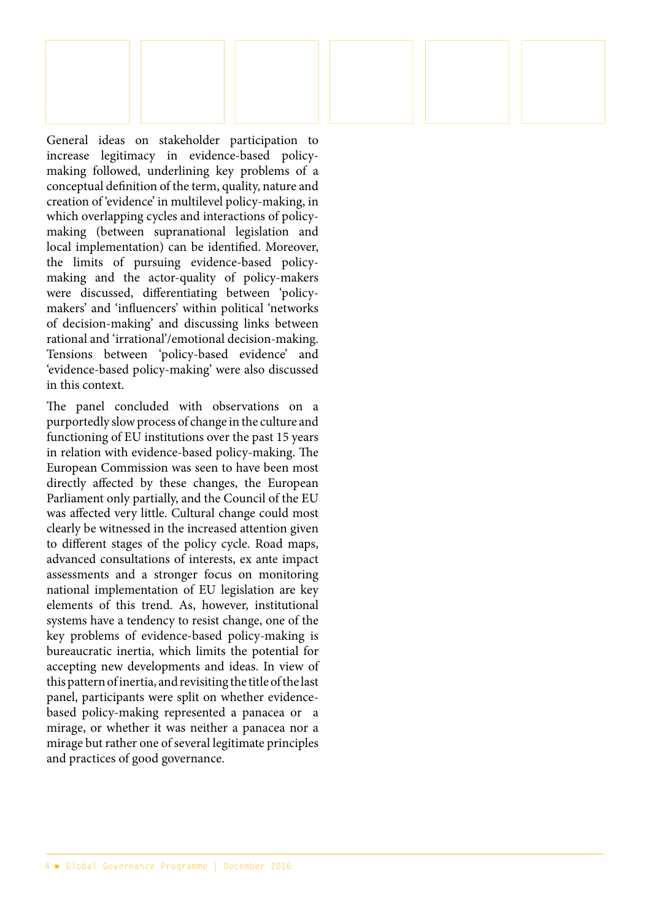General ideas on stakeholder participation to increase legitimacy in evidence-based policymaking followed, underlining key problems of a conceptual definition of the term, quality, nature and creation of 'evidence' in multilevel policy-making, in which overlapping cycles and interactions of policymaking (between supranational legislation and local implementation) can be identified. Moreover, the limits of pursuing evidence-based policymaking and the actor-quality of policy-makers were discussed, differentiating between 'policymakers' and 'influencers' within political 'networks of decision-making' and discussing links between rational and 'irrational'/emotional decision-making. Tensions between 'policy-based evidence' and 'evidence-based policy-making' were also discussed in this context.

The panel concluded with observations on a purportedly slow process of change in the culture and functioning of EU institutions over the past 15 years in relation with evidence-based policy-making. The European Commission was seen to have been most directly affected by these changes, the European Parliament only partially, and the Council of the EU was affected very little. Cultural change could most clearly be witnessed in the increased attention given to different stages of the policy cycle. Road maps, advanced consultations of interests, ex ante impact assessments and a stronger focus on monitoring national implementation of EU legislation are key elements of this trend. As, however, institutional systems have a tendency to resist change, one of the key problems of evidence-based policy-making is bureaucratic inertia, which limits the potential for accepting new developments and ideas. In view of this pattern of inertia, and revisiting the title of the last panel, participants were split on whether evidencebased policy-making represented a panacea or a mirage, or whether it was neither a panacea nor a mirage but rather one of several legitimate principles and practices of good governance.